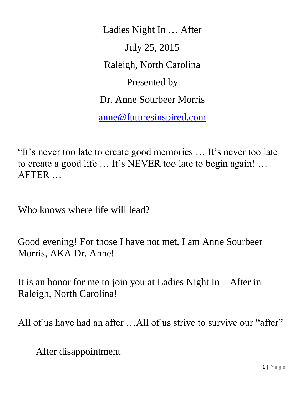Ladies Night In … After July 25, 2015 Raleigh, North Carolina Presented by Dr. Anne Sourbeer Morris [anne@futuresinspired.com](mailto:anne@futuresinspired.com)

"It's never too late to create good memories … It's never too late to create a good life … It's NEVER too late to begin again! … AFTER …

Who knows where life will lead?

Good evening! For those I have not met, I am Anne Sourbeer Morris, AKA Dr. Anne!

It is an honor for me to join you at Ladies Night  $In - After in$ Raleigh, North Carolina!

All of us have had an after ...All of us strive to survive our "after"

After disappointment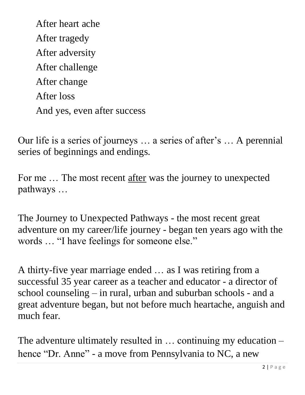After heart ache After tragedy After adversity After challenge After change After loss And yes, even after success

Our life is a series of journeys … a series of after's … A perennial series of beginnings and endings.

For me ... The most recent after was the journey to unexpected pathways …

The Journey to Unexpected Pathways - the most recent great adventure on my career/life journey - began ten years ago with the words … "I have feelings for someone else."

A thirty-five year marriage ended … as I was retiring from a successful 35 year career as a teacher and educator - a director of school counseling – in rural, urban and suburban schools - and a great adventure began, but not before much heartache, anguish and much fear.

The adventure ultimately resulted in … continuing my education – hence "Dr. Anne" - a move from Pennsylvania to NC, a new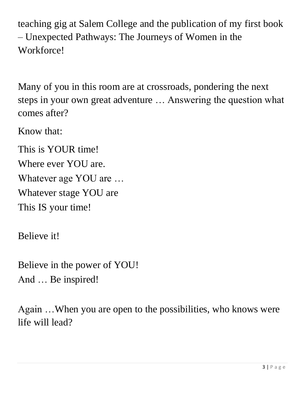teaching gig at Salem College and the publication of my first book – Unexpected Pathways: The Journeys of Women in the Workforce!

Many of you in this room are at crossroads, pondering the next steps in your own great adventure … Answering the question what comes after?

Know that:

This is YOUR time! Where ever YOU are. Whatever age YOU are … Whatever stage YOU are This IS your time!

Believe it!

Believe in the power of YOU! And … Be inspired!

Again …When you are open to the possibilities, who knows were life will lead?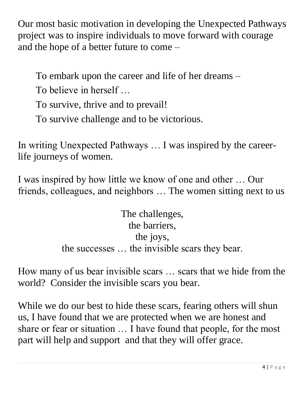Our most basic motivation in developing the Unexpected Pathways project was to inspire individuals to move forward with courage and the hope of a better future to come –

To embark upon the career and life of her dreams –

To believe in herself …

To survive, thrive and to prevail!

To survive challenge and to be victorious.

In writing Unexpected Pathways … I was inspired by the careerlife journeys of women.

I was inspired by how little we know of one and other … Our friends, colleagues, and neighbors … The women sitting next to us

> The challenges, the barriers, the joys, the successes … the invisible scars they bear.

How many of us bear invisible scars … scars that we hide from the world? Consider the invisible scars you bear.

While we do our best to hide these scars, fearing others will shun us, I have found that we are protected when we are honest and share or fear or situation … I have found that people, for the most part will help and support and that they will offer grace.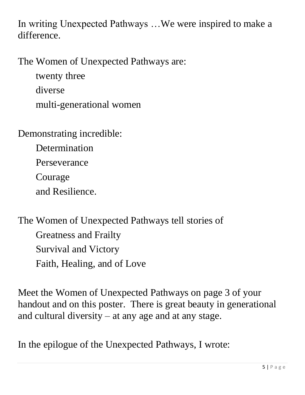In writing Unexpected Pathways …We were inspired to make a difference.

The Women of Unexpected Pathways are:

twenty three diverse multi-generational women

Demonstrating incredible:

Determination

Perseverance

Courage

and Resilience.

The Women of Unexpected Pathways tell stories of Greatness and Frailty Survival and Victory Faith, Healing, and of Love

Meet the Women of Unexpected Pathways on page 3 of your handout and on this poster. There is great beauty in generational and cultural diversity – at any age and at any stage.

In the epilogue of the Unexpected Pathways, I wrote: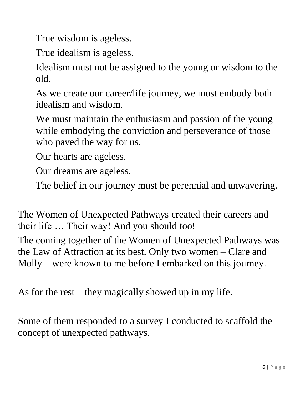True wisdom is ageless.

True idealism is ageless.

Idealism must not be assigned to the young or wisdom to the old.

As we create our career/life journey, we must embody both idealism and wisdom.

We must maintain the enthusiasm and passion of the young while embodying the conviction and perseverance of those who paved the way for us.

Our hearts are ageless.

Our dreams are ageless.

The belief in our journey must be perennial and unwavering.

The Women of Unexpected Pathways created their careers and their life … Their way! And you should too!

The coming together of the Women of Unexpected Pathways was the Law of Attraction at its best. Only two women – Clare and Molly – were known to me before I embarked on this journey.

As for the rest – they magically showed up in my life.

Some of them responded to a survey I conducted to scaffold the concept of unexpected pathways.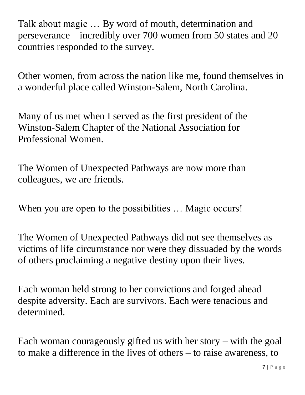Talk about magic … By word of mouth, determination and perseverance – incredibly over 700 women from 50 states and 20 countries responded to the survey.

Other women, from across the nation like me, found themselves in a wonderful place called Winston-Salem, North Carolina.

Many of us met when I served as the first president of the Winston-Salem Chapter of the National Association for Professional Women.

The Women of Unexpected Pathways are now more than colleagues, we are friends.

When you are open to the possibilities ... Magic occurs!

The Women of Unexpected Pathways did not see themselves as victims of life circumstance nor were they dissuaded by the words of others proclaiming a negative destiny upon their lives.

Each woman held strong to her convictions and forged ahead despite adversity. Each are survivors. Each were tenacious and determined.

Each woman courageously gifted us with her story – with the goal to make a difference in the lives of others – to raise awareness, to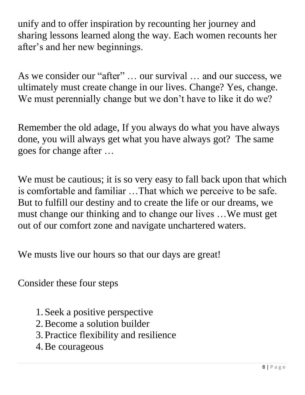unify and to offer inspiration by recounting her journey and sharing lessons learned along the way. Each women recounts her after's and her new beginnings.

As we consider our "after" … our survival … and our success, we ultimately must create change in our lives. Change? Yes, change. We must perennially change but we don't have to like it do we?

Remember the old adage, If you always do what you have always done, you will always get what you have always got? The same goes for change after …

We must be cautious; it is so very easy to fall back upon that which is comfortable and familiar …That which we perceive to be safe. But to fulfill our destiny and to create the life or our dreams, we must change our thinking and to change our lives …We must get out of our comfort zone and navigate unchartered waters.

We musts live our hours so that our days are great!

Consider these four steps

- 1. Seek a positive perspective
- 2.Become a solution builder
- 3. Practice flexibility and resilience
- 4.Be courageous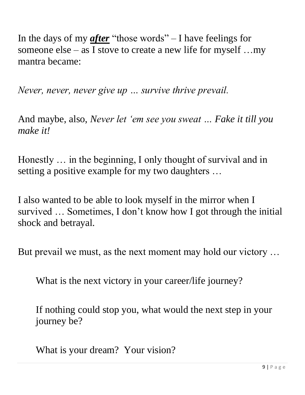In the days of my *after* "those words" – I have feelings for someone else – as I stove to create a new life for myself …my mantra became:

*Never, never, never give up … survive thrive prevail.* 

And maybe, also, *Never let 'em see you sweat … Fake it till you make it!* 

Honestly … in the beginning, I only thought of survival and in setting a positive example for my two daughters …

I also wanted to be able to look myself in the mirror when I survived … Sometimes, I don't know how I got through the initial shock and betrayal.

But prevail we must, as the next moment may hold our victory …

What is the next victory in your career/life journey?

If nothing could stop you, what would the next step in your journey be?

What is your dream? Your vision?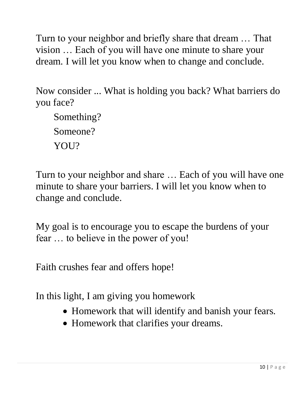Turn to your neighbor and briefly share that dream … That vision … Each of you will have one minute to share your dream. I will let you know when to change and conclude.

Now consider ... What is holding you back? What barriers do you face?

Something? Someone? YOU?

Turn to your neighbor and share … Each of you will have one minute to share your barriers. I will let you know when to change and conclude.

My goal is to encourage you to escape the burdens of your fear … to believe in the power of you!

Faith crushes fear and offers hope!

In this light, I am giving you homework

- Homework that will identify and banish your fears.
- Homework that clarifies your dreams.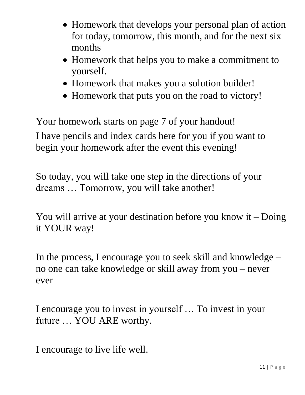- Homework that develops your personal plan of action for today, tomorrow, this month, and for the next six months
- Homework that helps you to make a commitment to yourself.
- Homework that makes you a solution builder!
- Homework that puts you on the road to victory!

Your homework starts on page 7 of your handout! I have pencils and index cards here for you if you want to begin your homework after the event this evening!

So today, you will take one step in the directions of your dreams … Tomorrow, you will take another!

You will arrive at your destination before you know it – Doing it YOUR way!

In the process, I encourage you to seek skill and knowledge – no one can take knowledge or skill away from you – never ever

I encourage you to invest in yourself … To invest in your future … YOU ARE worthy.

I encourage to live life well.